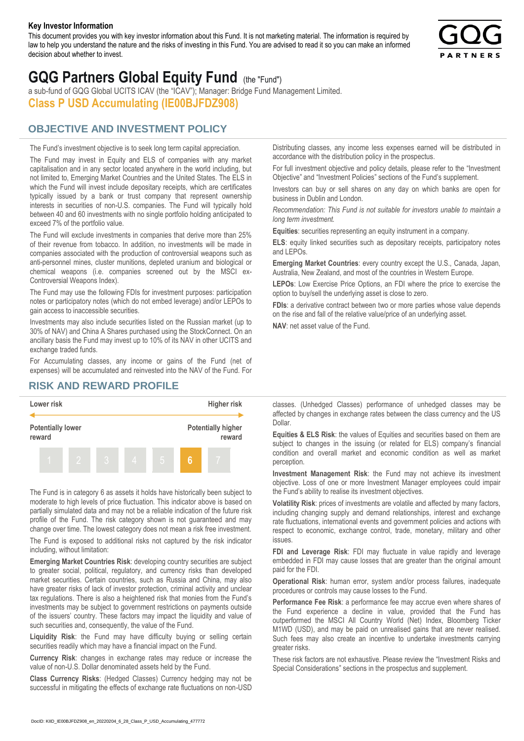#### **Key Investor Information**

This document provides you with key investor information about this Fund. It is not marketing material. The information is required by law to help you understand the nature and the risks of investing in this Fund. You are advised to read it so you can make an informed decision about whether to invest.



# **GQG Partners Global Equity Fund** (the "Fund")

a sub-fund of GQG Global UCITS ICAV (the "ICAV"); Manager: Bridge Fund Management Limited. **Class P USD Accumulating (IE00BJFDZ908)**

### **OBJECTIVE AND INVESTMENT POLICY**

The Fund's investment objective is to seek long term capital appreciation. The Fund may invest in Equity and ELS of companies with any market capitalisation and in any sector located anywhere in the world including, but not limited to, Emerging Market Countries and the United States. The ELS in which the Fund will invest include depositary receipts, which are certificates typically issued by a bank or trust company that represent ownership interests in securities of non-U.S. companies. The Fund will typically hold between 40 and 60 investments with no single portfolio holding anticipated to exceed 7% of the portfolio value.

The Fund will exclude investments in companies that derive more than 25% of their revenue from tobacco. In addition, no investments will be made in companies associated with the production of controversial weapons such as anti-personnel mines, cluster munitions, depleted uranium and biological or chemical weapons (i.e. companies screened out by the MSCI ex-Controversial Weapons Index).

The Fund may use the following FDIs for investment purposes: participation notes or participatory notes (which do not embed leverage) and/or LEPOs to gain access to inaccessible securities.

Investments may also include securities listed on the Russian market (up to 30% of NAV) and China A Shares purchased using the StockConnect. On an ancillary basis the Fund may invest up to 10% of its NAV in other UCITS and exchange traded funds.

For Accumulating classes, any income or gains of the Fund (net of expenses) will be accumulated and reinvested into the NAV of the Fund. For Distributing classes, any income less expenses earned will be distributed in accordance with the distribution policy in the prospectus.

For full investment objective and policy details, please refer to the "Investment Objective" and "Investment Policies" sections of the Fund's supplement.

Investors can buy or sell shares on any day on which banks are open for business in Dublin and London.

*Recommendation: This Fund is not suitable for investors unable to maintain a long term investment.*

**Equities**: securities representing an equity instrument in a company.

**ELS**: equity linked securities such as depositary receipts, participatory notes and LEPOs.

**Emerging Market Countries**: every country except the U.S., Canada, Japan, Australia, New Zealand, and most of the countries in Western Europe.

**LEPOs**: Low Exercise Price Options, an FDI where the price to exercise the option to buy/sell the underlying asset is close to zero.

**FDIs**: a derivative contract between two or more parties whose value depends on the rise and fall of the relative value/price of an underlying asset.

**NAV**: net asset value of the Fund.

#### **RISK AND REWARD PROFILE**



The Fund is in category 6 as assets it holds have historically been subject to moderate to high levels of price fluctuation. This indicator above is based on partially simulated data and may not be a reliable indication of the future risk profile of the Fund. The risk category shown is not guaranteed and may change over time. The lowest category does not mean a risk free investment.

The Fund is exposed to additional risks not captured by the risk indicator including, without limitation:

**Emerging Market Countries Risk**: developing country securities are subject to greater social, political, regulatory, and currency risks than developed market securities. Certain countries, such as Russia and China, may also have greater risks of lack of investor protection, criminal activity and unclear tax regulations. There is also a heightened risk that monies from the Fund's investments may be subject to government restrictions on payments outside of the issuers' country. These factors may impact the liquidity and value of such securities and, consequently, the value of the Fund.

**Liquidity Risk**: the Fund may have difficulty buying or selling certain securities readily which may have a financial impact on the Fund.

**Currency Risk**: changes in exchange rates may reduce or increase the value of non-U.S. Dollar denominated assets held by the Fund.

**Class Currency Risks**: (Hedged Classes) Currency hedging may not be successful in mitigating the effects of exchange rate fluctuations on non-USD classes. (Unhedged Classes) performance of unhedged classes may be affected by changes in exchange rates between the class currency and the US Dollar.

**Equities & ELS Risk**: the values of Equities and securities based on them are subject to changes in the issuing (or related for ELS) company's financial condition and overall market and economic condition as well as market perception.

**Investment Management Risk**: the Fund may not achieve its investment objective. Loss of one or more Investment Manager employees could impair the Fund's ability to realise its investment objectives.

**Volatility Risk**: prices of investments are volatile and affected by many factors, including changing supply and demand relationships, interest and exchange rate fluctuations, international events and government policies and actions with respect to economic, exchange control, trade, monetary, military and other issues.

**FDI and Leverage Risk**: FDI may fluctuate in value rapidly and leverage embedded in FDI may cause losses that are greater than the original amount paid for the FDI.

**Operational Risk**: human error, system and/or process failures, inadequate procedures or controls may cause losses to the Fund.

**Performance Fee Risk**: a performance fee may accrue even where shares of the Fund experience a decline in value, provided that the Fund has outperformed the MSCI All Country World (Net) Index, Bloomberg Ticker M1WD (USD), and may be paid on unrealised gains that are never realised. Such fees may also create an incentive to undertake investments carrying greater risks.

These risk factors are not exhaustive. Please review the "Investment Risks and Special Considerations" sections in the prospectus and supplement.